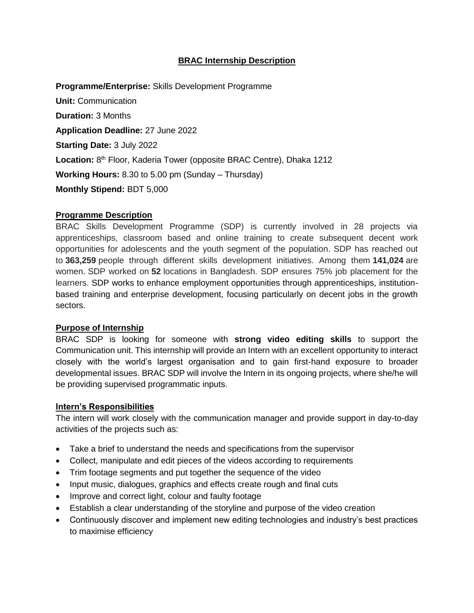# **BRAC Internship Description**

**Programme/Enterprise:** Skills Development Programme **Unit:** Communication **Duration:** 3 Months **Application Deadline:** 27 June 2022 **Starting Date:** 3 July 2022 Location: 8<sup>th</sup> Floor, Kaderia Tower (opposite BRAC Centre), Dhaka 1212 **Working Hours:** 8.30 to 5.00 pm (Sunday – Thursday) **Monthly Stipend:** BDT 5,000

#### **Programme Description**

BRAC Skills Development Programme (SDP) is currently involved in 28 projects via apprenticeships, classroom based and online training to create subsequent decent work opportunities for adolescents and the youth segment of the population. SDP has reached out to **363,259** people through different skills development initiatives. Among them **141,024** are women. SDP worked on **52** locations in Bangladesh. SDP ensures 75% job placement for the learners. SDP works to enhance employment opportunities through apprenticeships, institutionbased training and enterprise development, focusing particularly on decent jobs in the growth sectors.

### **Purpose of Internship**

BRAC SDP is looking for someone with **strong video editing skills** to support the Communication unit. This internship will provide an Intern with an excellent opportunity to interact closely with the world's largest organisation and to gain first-hand exposure to broader developmental issues. BRAC SDP will involve the Intern in its ongoing projects, where she/he will be providing supervised programmatic inputs.

#### **Intern's Responsibilities**

The intern will work closely with the communication manager and provide support in day-to-day activities of the projects such as:

- Take a brief to understand the needs and specifications from the supervisor
- Collect, manipulate and edit pieces of the videos according to requirements
- Trim footage segments and put together the sequence of the video
- Input music, dialogues, graphics and effects create rough and final cuts
- Improve and correct light, colour and faulty footage
- Establish a clear understanding of the storyline and purpose of the video creation
- Continuously discover and implement new editing technologies and industry's best practices to maximise efficiency